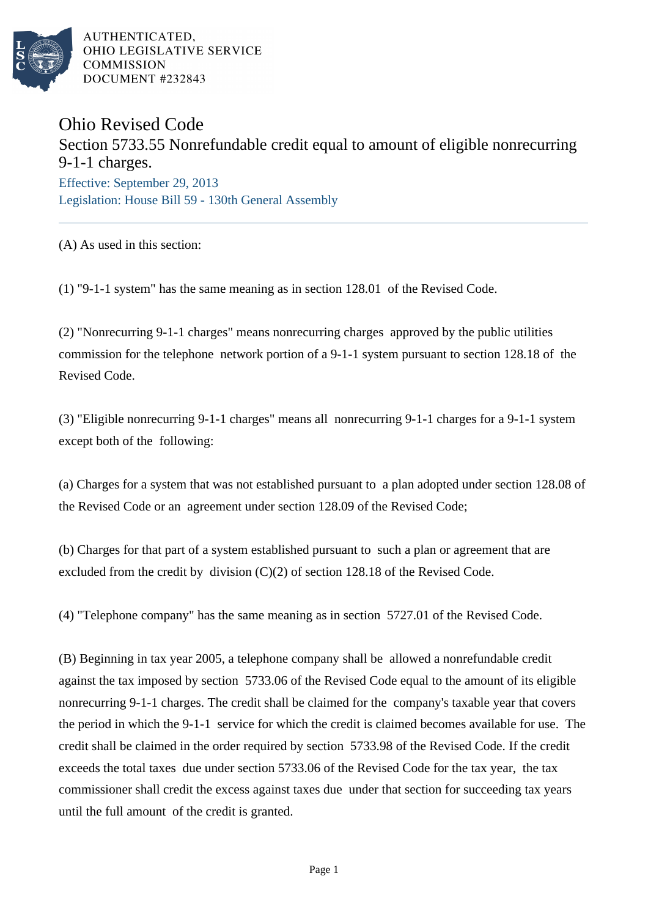

AUTHENTICATED. OHIO LEGISLATIVE SERVICE **COMMISSION** DOCUMENT #232843

## Ohio Revised Code

## Section 5733.55 Nonrefundable credit equal to amount of eligible nonrecurring 9-1-1 charges.

Effective: September 29, 2013 Legislation: House Bill 59 - 130th General Assembly

(A) As used in this section:

(1) "9-1-1 system" has the same meaning as in section 128.01 of the Revised Code.

(2) "Nonrecurring 9-1-1 charges" means nonrecurring charges approved by the public utilities commission for the telephone network portion of a 9-1-1 system pursuant to section 128.18 of the Revised Code.

(3) "Eligible nonrecurring 9-1-1 charges" means all nonrecurring 9-1-1 charges for a 9-1-1 system except both of the following:

(a) Charges for a system that was not established pursuant to a plan adopted under section 128.08 of the Revised Code or an agreement under section 128.09 of the Revised Code;

(b) Charges for that part of a system established pursuant to such a plan or agreement that are excluded from the credit by division  $(C)(2)$  of section 128.18 of the Revised Code.

(4) "Telephone company" has the same meaning as in section 5727.01 of the Revised Code.

(B) Beginning in tax year 2005, a telephone company shall be allowed a nonrefundable credit against the tax imposed by section 5733.06 of the Revised Code equal to the amount of its eligible nonrecurring 9-1-1 charges. The credit shall be claimed for the company's taxable year that covers the period in which the 9-1-1 service for which the credit is claimed becomes available for use. The credit shall be claimed in the order required by section 5733.98 of the Revised Code. If the credit exceeds the total taxes due under section 5733.06 of the Revised Code for the tax year, the tax commissioner shall credit the excess against taxes due under that section for succeeding tax years until the full amount of the credit is granted.